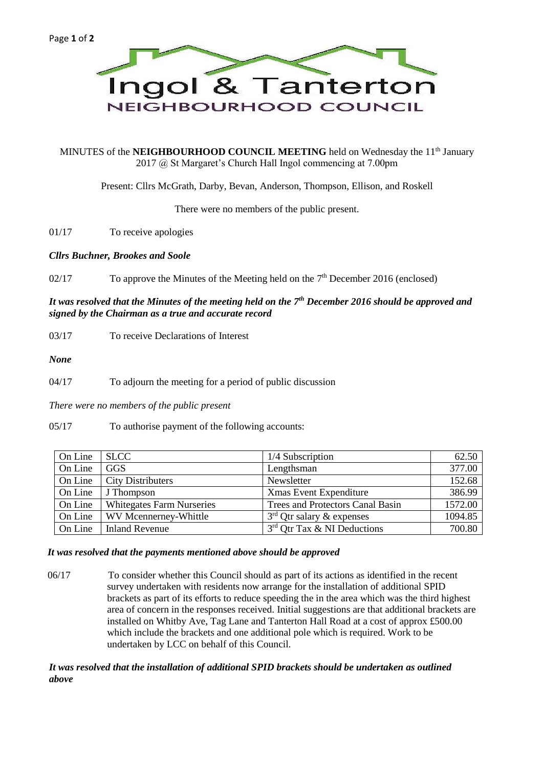

MINUTES of the **NEIGHBOURHOOD COUNCIL MEETING** held on Wednesday the 11<sup>th</sup> January 2017 @ St Margaret's Church Hall Ingol commencing at 7.00pm

Present: Cllrs McGrath, Darby, Bevan, Anderson, Thompson, Ellison, and Roskell

There were no members of the public present.

01/17 To receive apologies

*Cllrs Buchner, Brookes and Soole*

02/17 To approve the Minutes of the Meeting held on the  $7<sup>th</sup>$  December 2016 (enclosed)

## *It was resolved that the Minutes of the meeting held on the 7th December 2016 should be approved and signed by the Chairman as a true and accurate record*

03/17 To receive Declarations of Interest

*None*

04/17 To adjourn the meeting for a period of public discussion

*There were no members of the public present*

05/17 To authorise payment of the following accounts:

| On Line | <b>SLCC</b>                      | 1/4 Subscription                 | 62.50   |
|---------|----------------------------------|----------------------------------|---------|
| On Line | <b>GGS</b>                       | Lengthsman                       | 377.00  |
| On Line | <b>City Distributers</b>         | Newsletter                       | 152.68  |
| On Line | J Thompson                       | <b>Xmas Event Expenditure</b>    | 386.99  |
| On Line | <b>Whitegates Farm Nurseries</b> | Trees and Protectors Canal Basin | 1572.00 |
| On Line | WV Mcennerney-Whittle            | $3rd$ Qtr salary & expenses      | 1094.85 |
| On Line | Inland Revenue                   | 3rd Qtr Tax & NI Deductions      | 700.80  |

#### *It was resolved that the payments mentioned above should be approved*

06/17 To consider whether this Council should as part of its actions as identified in the recent survey undertaken with residents now arrange for the installation of additional SPID brackets as part of its efforts to reduce speeding the in the area which was the third highest area of concern in the responses received. Initial suggestions are that additional brackets are installed on Whitby Ave, Tag Lane and Tanterton Hall Road at a cost of approx £500.00 which include the brackets and one additional pole which is required. Work to be undertaken by LCC on behalf of this Council.

*It was resolved that the installation of additional SPID brackets should be undertaken as outlined above*